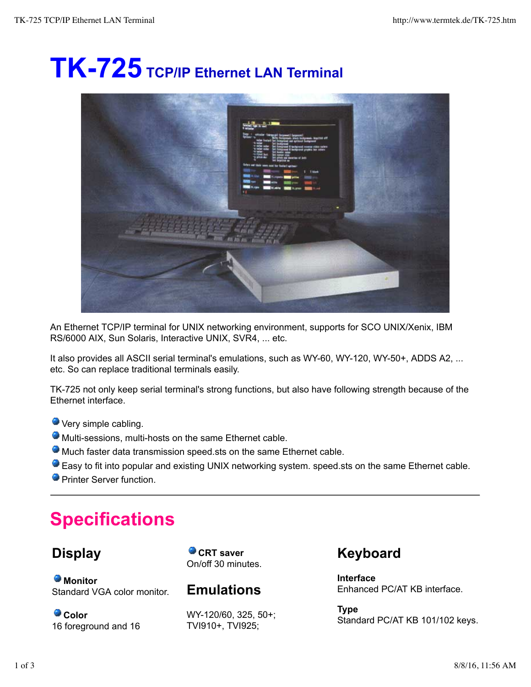# **TK-725 TCP/IP Ethernet LAN Terminal**



An Ethernet TCP/IP terminal for UNIX networking environment, supports for SCO UNIX/Xenix, IBM RS/6000 AIX, Sun Solaris, Interactive UNIX, SVR4, ... etc.

It also provides all ASCII serial terminal's emulations, such as WY-60, WY-120, WY-50+, ADDS A2, ... etc. So can replace traditional terminals easily.

TK-725 not only keep serial terminal's strong functions, but also have following strength because of the Ethernet interface.

- Very simple cabling.
- Multi-sessions, multi-hosts on the same Ethernet cable.
- Much faster data transmission speed.sts on the same Ethernet cable.
- Easy to fit into popular and existing UNIX networking system. speed.sts on the same Ethernet cable.
- **Printer Server function**

## **Specifications**

## **Display**

**Monitor** Standard VGA color monitor.

**Color** 16 foreground and 16

**CRT** saver On/off 30 minutes.

**Emulations**

WY-120/60, 325, 50+; TVI910+, TVI925;

**Keyboard**

**Interface** Enhanced PC/AT KB interface.

**Type** Standard PC/AT KB 101/102 keys.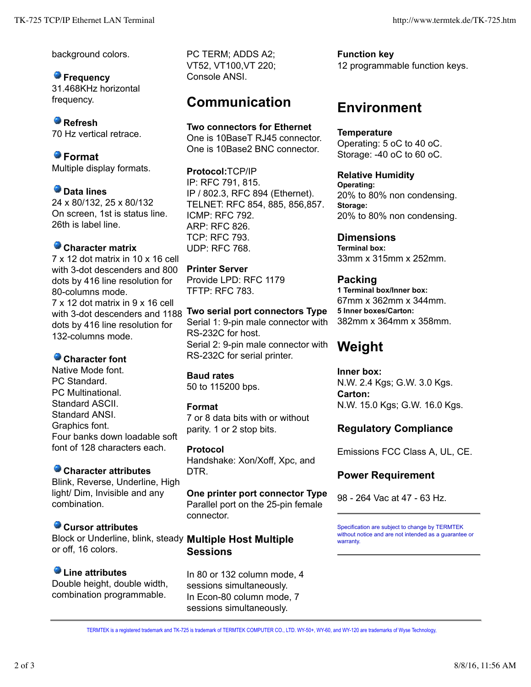background colors.

**P** Frequency 31.468KHz horizontal frequency.

**Refresh** 70 Hz vertical retrace.

**Format** Multiple display formats.

**Data lines** 24 x 80/132, 25 x 80/132 On screen, 1st is status line. 26th is label line.

#### **Character matrix**

7 x 12 dot matrix in 10 x 16 cell with 3-dot descenders and 800 dots by 416 line resolution for 80-columns mode. 7 x 12 dot matrix in 9 x 16 cell with 3-dot descenders and 1188 dots by 416 line resolution for 132-columns mode.

#### **Character font**

Native Mode font. PC Standard. PC Multinational. Standard ASCII. Standard ANSI. Graphics font. Four banks down loadable soft font of 128 characters each.

## **Character attributes**

Blink, Reverse, Underline, High light/ Dim, Invisible and any combination.

#### **Cursor attributes**

Block or Underline, blink, steady **Multiple Host Multiple** or off, 16 colors.

## **Line attributes**

Double height, double width, combination programmable.

PC TERM; ADDS A2; VT52, VT100,VT 220; Console ANSI.

## **Communication**

**Two connectors for Ethernet** One is 10BaseT RJ45 connector. One is 10Base2 BNC connector.

**Protocol:**TCP/IP IP: RFC 791, 815. IP / 802.3, RFC 894 (Ethernet). TELNET: RFC 854, 885, 856,857. ICMP: RFC 792. ARP: RFC 826. TCP: RFC 793. UDP: RFC 768.

**Printer Server** Provide LPD: RFC 1179 TFTP: RFC 783.

**Two serial port connectors Type** Serial 1: 9-pin male connector with RS-232C for host. Serial 2: 9-pin male connector with RS-232C for serial printer.

**Baud rates** 50 to 115200 bps.

#### **Format**

7 or 8 data bits with or without parity. 1 or 2 stop bits.

**Protocol** Handshake: Xon/Xoff, Xpc, and DTR.

**One printer port connector Type** Parallel port on the 25-pin female connector.

## **Sessions**

In 80 or 132 column mode, 4 sessions simultaneously. In Econ-80 column mode, 7 sessions simultaneously.

**Function key** 12 programmable function keys.

## **Environment**

**Temperature** Operating: 5 oC to 40 oC. Storage: -40 oC to 60 oC.

**Relative Humidity Operating:** 20% to 80% non condensing. **Storage:** 20% to 80% non condensing.

**Dimensions Terminal box:** 33mm x 315mm x 252mm.

**Packing 1 Terminal box/Inner box:** 67mm x 362mm x 344mm. **5 Inner boxes/Carton:** 382mm x 364mm x 358mm.

## **Weight**

**Inner box:** N.W. 2.4 Kgs; G.W. 3.0 Kgs. **Carton:** N.W. 15.0 Kgs; G.W. 16.0 Kgs.

## **Regulatory Compliance**

Emissions FCC Class A, UL, CE.

## **Power Requirement**

98 - 264 Vac at 47 - 63 Hz.

Specification are subject to change by TERMTEK without notice and are not intended as a guarantee or warranty.

TERMTEK is a registered trademark and TK-725 is trademark of TERMTEK COMPUTER CO., LTD. WY-50+, WY-60, and WY-120 are trademarks of Wyse Technology,